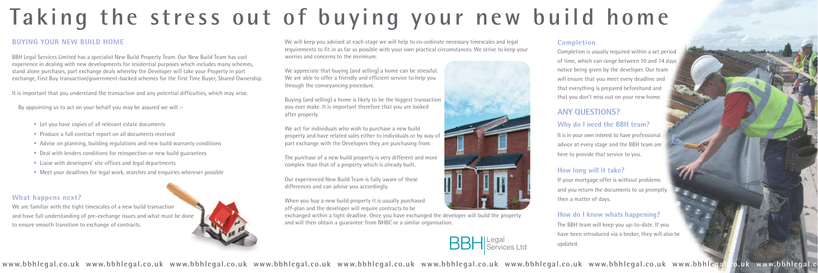

www.bbhlegal.co.uk www.bbhlegal.co.uk www.bbhlegal.co.uk www.bbhlegal.co.uk www.bbhlegal.co.uk www.bbhlegal.co.uk www.bbhlegal.co.uk www.bbhlegal.co.uk www.bbhlegal.co.uk www.bbhlegal.co.uk www.bbhlegal.co.uk www.bbhlegal.



We will keep you advised at each stage we will help to co-ordinate necessary timescales and legal requirements to fit in as far as possible with your own practical circumstances. We strive to keep your worries and concerns to the minimum.

We appreciate that buying (and selling) a home can be stressful. We are able to offer a friendly and efficient service to help you through the conveyancing procedure.

Buying (and selling) a home is likely to be the biggest transaction you ever make. It is important therefore that you are looked after properly.

We act for individuals who wish to purchase a new build property and have related sales either to individuals or by way of part exchange with the Developers they are purchasing from.

The purchase of a new build property is very different and more complex than that of a property which is already built.

Our experienced New Build Team is fully aware of these differences and can advise you accordingly.

It is in your own interest to have professional advice at every stage and the BBH team are here to provide that service to you.

When you buy a new build property it is usually purchased off-plan and the developer will require contracts to be

exchanged within a tight deadline. Once you have exchanged the developer will build the property and will then obtain a guarantee from NHBC or a similar organisation.

- Let you have copies of all relevant estate documents
- Produce a full contract report on all documents received
- Advise on planning, building regulations and new build warranty conditions
- Deal with lenders conditions for reinspection or new build guarantees
- Liaise with developers' site offices and legal departments
- Meet your deadlines for legal work, searches and enquiries wherever possible

#### **Completion**

Completion is usually required within a set period of time, which can range between 10 and 14 days notice being given by the developer. Our team will ensure that you meet every deadline and that everything is prepared beforehand and that you don't miss out on your new home.

### **ANY QUESTIONS?**

#### **Why do I need the BBH team?**

#### **How long will it take?**

If your mortgage offer is without problems and you return the documents to us promptly then a matter of days.

#### **How do I know whats happening?**

The BBH team will keep you up-to-date. If you have been introduced via a broker, they will also be updated.

# **Ta k ing the s tre s s out of buy ing your new build home**

#### **BUYING YOUR NEW BUILD HOME**

BBH Legal Services Limited has a specialist New Build Property Team. Our New Build Team has vast experience in dealing with new developments for residential purposes which includes many schemes, stand alone purchases, part exchange deals whereby the Developer will take your Property in part exchange, First Buy transaction/government-backed schemes for the First Time Buyer, Shared Ownership.

It is important that you understand the transaction and any potential difficulties, which may arise.

By appointing us to act on your behalf you may be assured we will :-

#### **What happens next?**

We are familiar with the tight timescales of a new build transaction and have full understanding of pre-exchange issues and what must be done to ensure smooth transition to exchange of contracts.